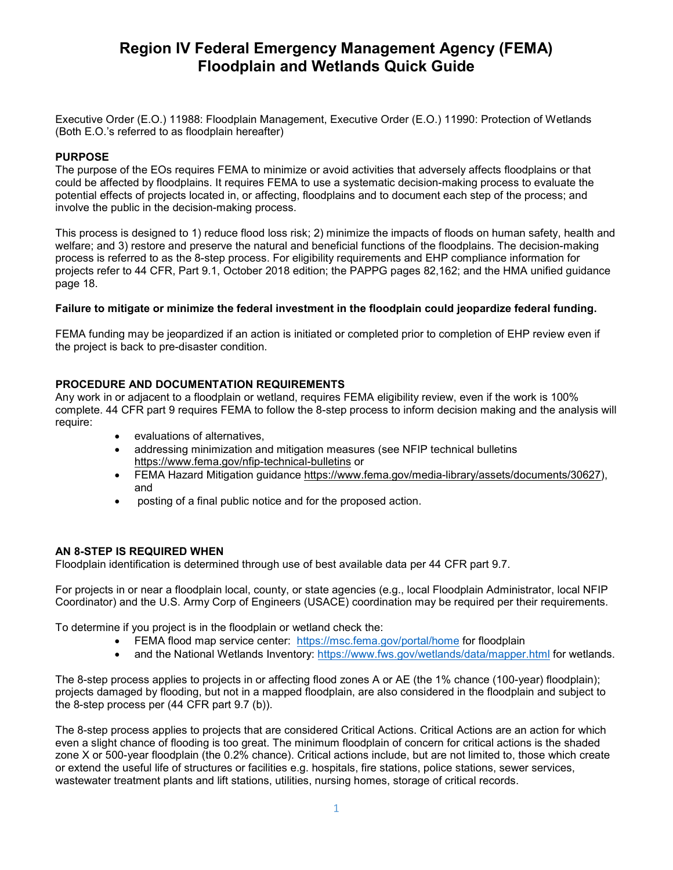# **Region IV Federal Emergency Management Agency (FEMA) Floodplain and Wetlands Quick Guide**

Executive Order (E.O.) 11988: Floodplain Management, Executive Order (E.O.) 11990: Protection of Wetlands (Both E.O.'s referred to as floodplain hereafter)

#### **PURPOSE**

The purpose of the EOs requires FEMA to minimize or avoid activities that adversely affects floodplains or that could be affected by floodplains. It requires FEMA to use a systematic decision-making process to evaluate the potential effects of projects located in, or affecting, floodplains and to document each step of the process; and involve the public in the decision-making process.

This process is designed to 1) reduce flood loss risk; 2) minimize the impacts of floods on human safety, health and welfare; and 3) restore and preserve the natural and beneficial functions of the floodplains. The decision-making process is referred to as the 8-step process. For eligibility requirements and EHP compliance information for projects refer to 44 CFR, Part 9.1, October 2018 edition; the PAPPG pages 82,162; and the HMA unified guidance page 18.

## **Failure to mitigate or minimize the federal investment in the floodplain could jeopardize federal funding.**

FEMA funding may be jeopardized if an action is initiated or completed prior to completion of EHP review even if the project is back to pre-disaster condition.

## **PROCEDURE AND DOCUMENTATION REQUIREMENTS**

Any work in or adjacent to a floodplain or wetland, requires FEMA eligibility review, even if the work is 100% complete. 44 CFR part 9 requires FEMA to follow the 8-step process to inform decision making and the analysis will require:

- evaluations of alternatives,
- addressing minimization and mitigation measures (see NFIP technical bulletins https://www.fema.gov/nfip-technical-bulletins or
- FEMA Hazard Mitigation guidance [https://www.fema.gov/media-library/assets/documents/30627\)](https://www.fema.gov/media-library/assets/documents/30627), and
- posting of a final public notice and for the proposed action.

#### **AN 8-STEP IS REQUIRED WHEN**

Floodplain identification is determined through use of best available data per 44 CFR part 9.7.

For projects in or near a floodplain local, county, or state agencies (e.g., local Floodplain Administrator, local NFIP Coordinator) and the U.S. Army Corp of Engineers (USACE) coordination may be required per their requirements.

To determine if you project is in the floodplain or wetland check the:

- FEMA flood map service center: <https://msc.fema.gov/portal/home> for floodplain
- and the National Wetlands Inventory:<https://www.fws.gov/wetlands/data/mapper.html> for wetlands.

The 8-step process applies to projects in or affecting flood zones A or AE (the 1% chance (100-year) floodplain); projects damaged by flooding, but not in a mapped floodplain, are also considered in the floodplain and subject to the 8-step process per (44 CFR part 9.7 (b)).

The 8-step process applies to projects that are considered Critical Actions. Critical Actions are an action for which even a slight chance of flooding is too great. The minimum floodplain of concern for critical actions is the shaded zone X or 500-year floodplain (the 0.2% chance). Critical actions include, but are not limited to, those which create or extend the useful life of structures or facilities e.g. hospitals, fire stations, police stations, sewer services, wastewater treatment plants and lift stations, utilities, nursing homes, storage of critical records.